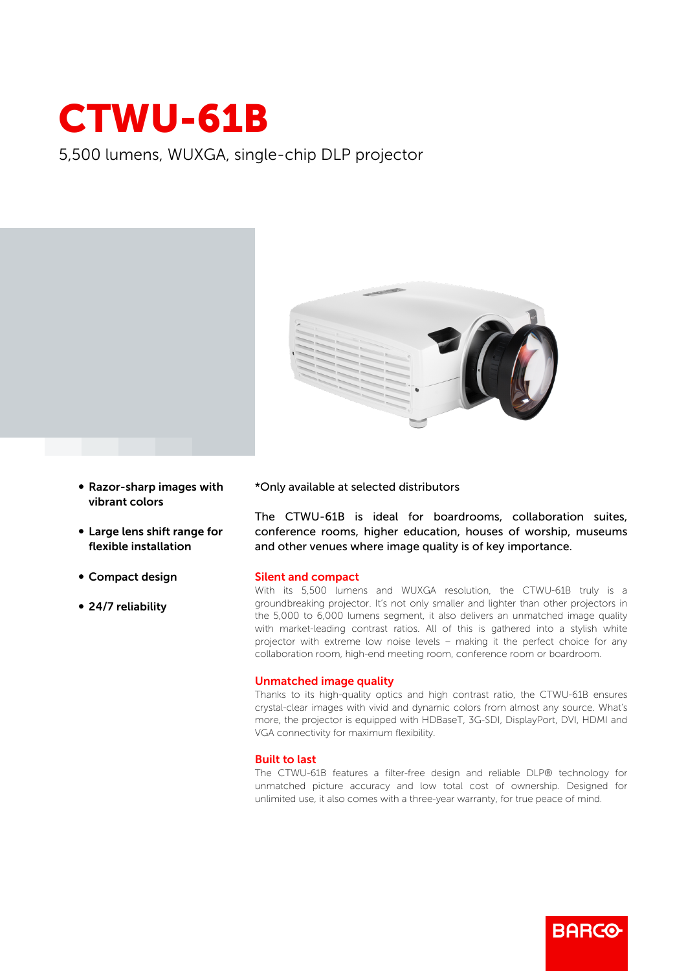

5,500 lumens, WUXGA, single-chip DLP projector



- Razor-sharp images with vibrant colors
- Large lens shift range for flexible installation
- Compact design
- 24/7 reliability

\*Only available at selected distributors

The CTWU-61B is ideal for boardrooms, collaboration suites, conference rooms, higher education, houses of worship, museums and other venues where image quality is of key importance.

## Silent and compact

With its 5,500 lumens and WUXGA resolution, the CTWU-61B truly is a groundbreaking projector. It's not only smaller and lighter than other projectors in the 5,000 to 6,000 lumens segment, it also delivers an unmatched image quality with market-leading contrast ratios. All of this is gathered into a stylish white projector with extreme low noise levels – making it the perfect choice for any collaboration room, high-end meeting room, conference room or boardroom.

## Unmatched image quality

Thanks to its high-quality optics and high contrast ratio, the CTWU-61B ensures crystal-clear images with vivid and dynamic colors from almost any source. What's more, the projector is equipped with HDBaseT, 3G-SDI, DisplayPort, DVI, HDMI and VGA connectivity for maximum flexibility.

## Built to last

The CTWU-61B features a filter-free design and reliable DLP® technology for unmatched picture accuracy and low total cost of ownership. Designed for unlimited use, it also comes with a three-year warranty, for true peace of mind.

**BARGO**